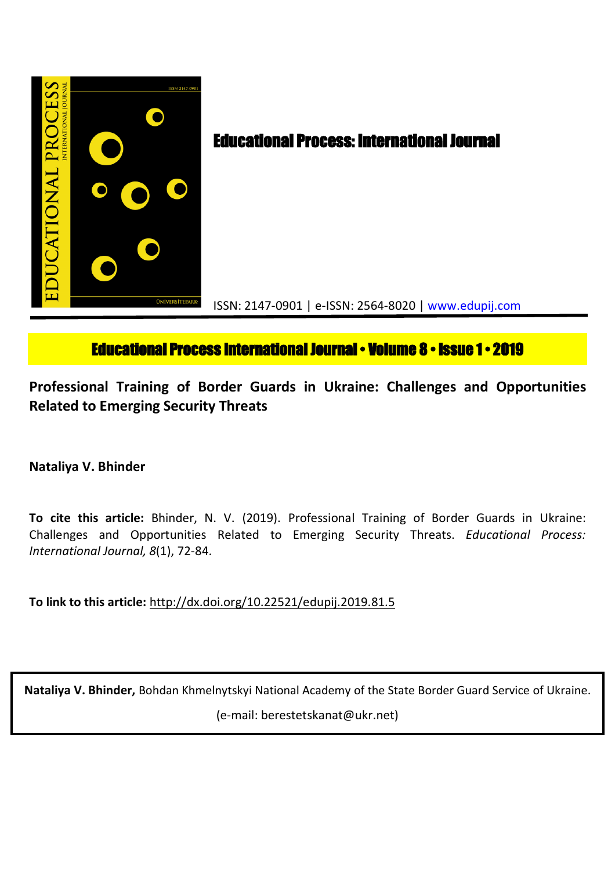

# **Educational Process International Journal • Volume 8 • Issue 1 • 2019**

**Professional Training of Border Guards in Ukraine: Challenges and Opportunities Related to Emerging Security Threats**

**Nataliya V. Bhinder**

**To cite this article:** Bhinder, N. V. (2019). Professional Training of Border Guards in Ukraine: Challenges and Opportunities Related to Emerging Security Threats. *Educational Process: International Journal, 8*(1), 72-84.

**To link to this article:** http://dx.doi.org/10.22521/edupij.2019.81.5

**Nataliya V. Bhinder,** Bohdan Khmelnytskyi National Academy of the State Border Guard Service of Ukraine. (e-mail: berestetskanat@ukr.net)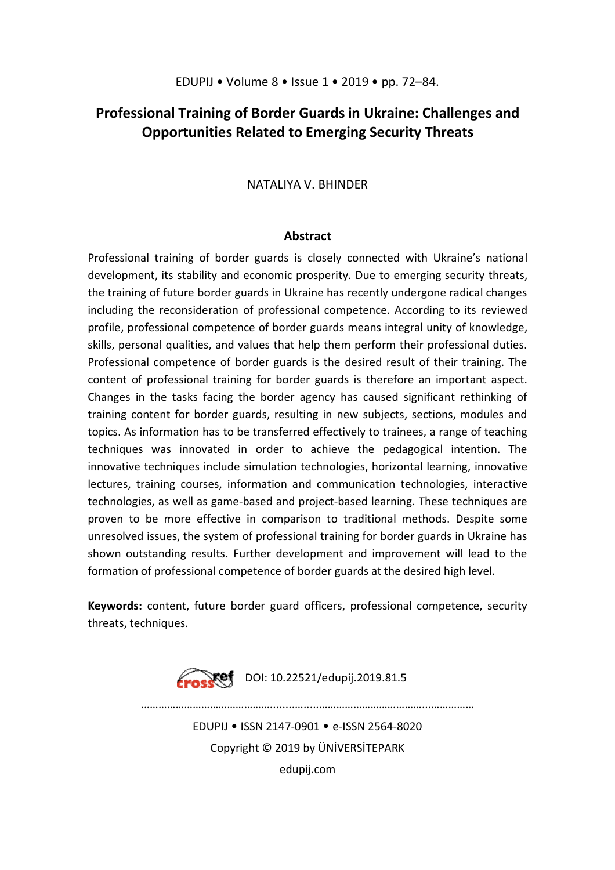## **Professional Training of Border Guards in Ukraine: Challenges and Opportunities Related to Emerging Security Threats**

## NATALIYA V. BHINDER

### **Abstract**

Professional training of border guards is closely connected with Ukraine's national development, its stability and economic prosperity. Due to emerging security threats, the training of future border guards in Ukraine has recently undergone radical changes including the reconsideration of professional competence. According to its reviewed profile, professional competence of border guards means integral unity of knowledge, skills, personal qualities, and values that help them perform their professional duties. Professional competence of border guards is the desired result of their training. The content of professional training for border guards is therefore an important aspect. Changes in the tasks facing the border agency has caused significant rethinking of training content for border guards, resulting in new subjects, sections, modules and topics. As information has to be transferred effectively to trainees, a range of teaching techniques was innovated in order to achieve the pedagogical intention. The innovative techniques include simulation technologies, horizontal learning, innovative lectures, training courses, information and communication technologies, interactive technologies, as well as game-based and project-based learning. These techniques are proven to be more effective in comparison to traditional methods. Despite some unresolved issues, the system of professional training for border guards in Ukraine has shown outstanding results. Further development and improvement will lead to the formation of professional competence of border guards at the desired high level.

**Keywords:** content, future border guard officers, professional competence, security threats, techniques.

**Example:** DOI: 10.22521/edupij.2019.81.5

………………………………………........….....………………………………...…………… EDUPIJ • ISSN 2147-0901 • e-ISSN 2564-8020 Copyright © 2019 by ÜNİVERSİTEPARK edupij.com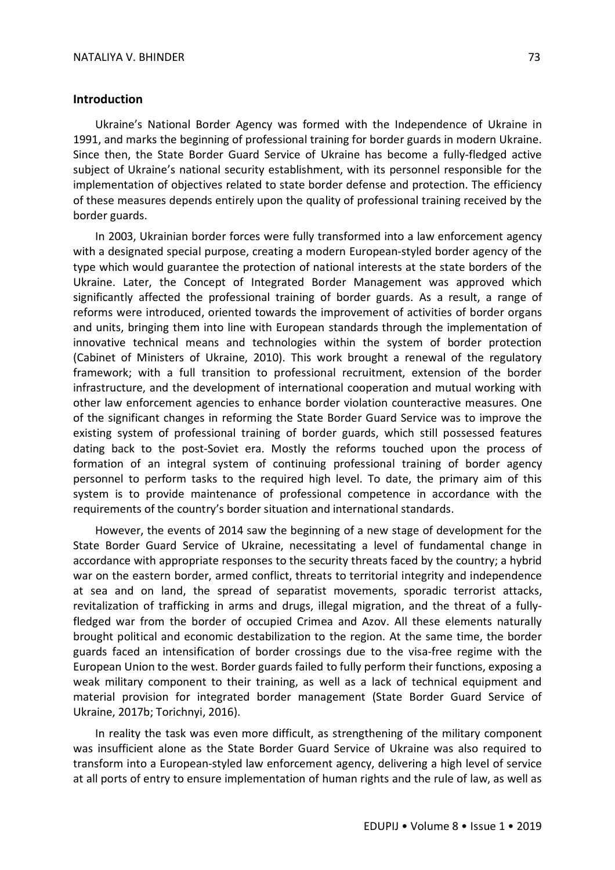#### **Introduction**

Ukraine's National Border Agency was formed with the Independence of Ukraine in 1991, and marks the beginning of professional training for border guards in modern Ukraine. Since then, the State Border Guard Service of Ukraine has become a fully-fledged active subject of Ukraine's national security establishment, with its personnel responsible for the implementation of objectives related to state border defense and protection. The efficiency of these measures depends entirely upon the quality of professional training received by the border guards.

In 2003, Ukrainian border forces were fully transformed into a law enforcement agency with a designated special purpose, creating a modern European-styled border agency of the type which would guarantee the protection of national interests at the state borders of the Ukraine. Later, the Concept of Integrated Border Management was approved which significantly affected the professional training of border guards. As a result, a range of reforms were introduced, oriented towards the improvement of activities of border organs and units, bringing them into line with European standards through the implementation of innovative technical means and technologies within the system of border protection (Cabinet of Ministers of Ukraine, 2010). This work brought a renewal of the regulatory framework; with a full transition to professional recruitment, extension of the border infrastructure, and the development of international cooperation and mutual working with other law enforcement agencies to enhance border violation counteractive measures. One of the significant changes in reforming the State Border Guard Service was to improve the existing system of professional training of border guards, which still possessed features dating back to the post-Soviet era. Mostly the reforms touched upon the process of formation of an integral system of continuing professional training of border agency personnel to perform tasks to the required high level. To date, the primary aim of this system is to provide maintenance of professional competence in accordance with the requirements of the country's border situation and international standards.

However, the events of 2014 saw the beginning of a new stage of development for the State Border Guard Service of Ukraine, necessitating a level of fundamental change in accordance with appropriate responses to the security threats faced by the country; a hybrid war on the eastern border, armed conflict, threats to territorial integrity and independence at sea and on land, the spread of separatist movements, sporadic terrorist attacks, revitalization of trafficking in arms and drugs, illegal migration, and the threat of a fullyfledged war from the border of occupied Crimea and Azov. All these elements naturally brought political and economic destabilization to the region. At the same time, the border guards faced an intensification of border crossings due to the visa-free regime with the European Union to the west. Border guards failed to fully perform their functions, exposing a weak military component to their training, as well as a lack of technical equipment and material provision for integrated border management (State Border Guard Service of Ukraine, 2017b; Torichnyi, 2016).

In reality the task was even more difficult, as strengthening of the military component was insufficient alone as the State Border Guard Service of Ukraine was also required to transform into a European-styled law enforcement agency, delivering a high level of service at all ports of entry to ensure implementation of human rights and the rule of law, as well as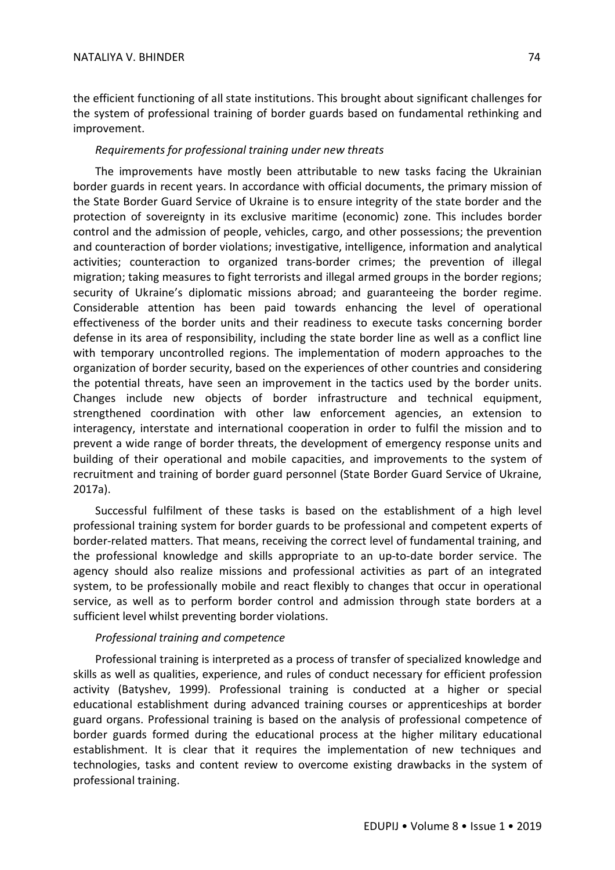the efficient functioning of all state institutions. This brought about significant challenges for the system of professional training of border guards based on fundamental rethinking and improvement.

## *Requirements for professional training under new threats*

The improvements have mostly been attributable to new tasks facing the Ukrainian border guards in recent years. In accordance with official documents, the primary mission of the State Border Guard Service of Ukraine is to ensure integrity of the state border and the protection of sovereignty in its exclusive maritime (economic) zone. This includes border control and the admission of people, vehicles, cargo, and other possessions; the prevention and counteraction of border violations; investigative, intelligence, information and analytical activities; counteraction to organized trans-border crimes; the prevention of illegal migration; taking measures to fight terrorists and illegal armed groups in the border regions; security of Ukraine's diplomatic missions abroad; and guaranteeing the border regime. Considerable attention has been paid towards enhancing the level of operational effectiveness of the border units and their readiness to execute tasks concerning border defense in its area of responsibility, including the state border line as well as a conflict line with temporary uncontrolled regions. The implementation of modern approaches to the organization of border security, based on the experiences of other countries and considering the potential threats, have seen an improvement in the tactics used by the border units. Changes include new objects of border infrastructure and technical equipment, strengthened coordination with other law enforcement agencies, an extension to interagency, interstate and international cooperation in order to fulfil the mission and to prevent a wide range of border threats, the development of emergency response units and building of their operational and mobile capacities, and improvements to the system of recruitment and training of border guard personnel (State Border Guard Service of Ukraine, 2017a).

Successful fulfilment of these tasks is based on the establishment of a high level professional training system for border guards to be professional and competent experts of border-related matters. That means, receiving the correct level of fundamental training, and the professional knowledge and skills appropriate to an up-to-date border service. The agency should also realize missions and professional activities as part of an integrated system, to be professionally mobile and react flexibly to changes that occur in operational service, as well as to perform border control and admission through state borders at a sufficient level whilst preventing border violations.

#### *Professional training and competence*

Professional training is interpreted as a process of transfer of specialized knowledge and skills as well as qualities, experience, and rules of conduct necessary for efficient profession activity (Batyshev, 1999). Professional training is conducted at a higher or special educational establishment during advanced training courses or apprenticeships at border guard organs. Professional training is based on the analysis of professional competence of border guards formed during the educational process at the higher military educational establishment. It is clear that it requires the implementation of new techniques and technologies, tasks and content review to overcome existing drawbacks in the system of professional training.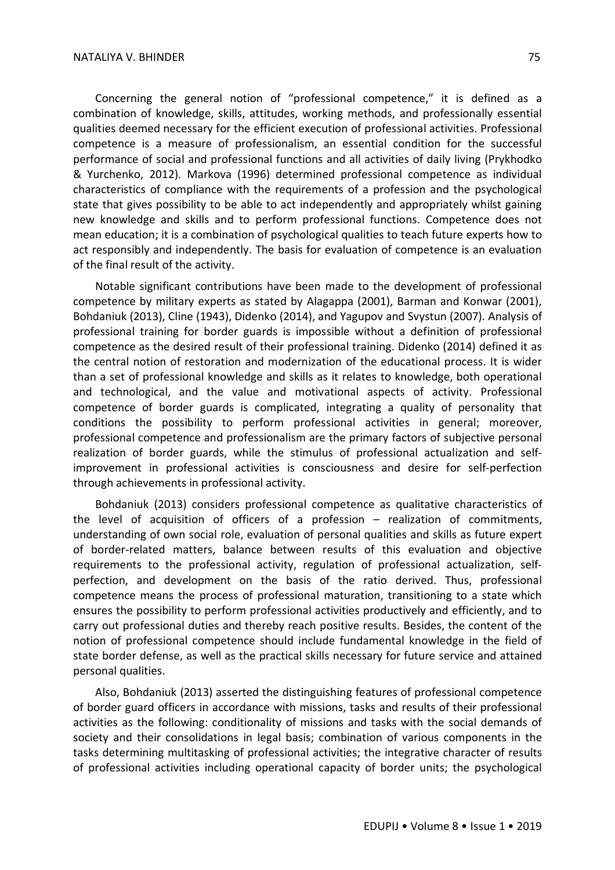Concerning the general notion of "professional competence," it is defined as a combination of knowledge, skills, attitudes, working methods, and professionally essential qualities deemed necessary for the efficient execution of professional activities. Professional competence is a measure of professionalism, an essential condition for the successful performance of social and professional functions and all activities of daily living (Prykhodko & Yurchenko, 2012). Markova (1996) determined professional competence as individual characteristics of compliance with the requirements of a profession and the psychological state that gives possibility to be able to act independently and appropriately whilst gaining new knowledge and skills and to perform professional functions. Competence does not mean education; it is a combination of psychological qualities to teach future experts how to act responsibly and independently. The basis for evaluation of competence is an evaluation of the final result of the activity.

Notable significant contributions have been made to the development of professional competence by military experts as stated by Alagappa (2001), Barman and Konwar (2001), Bohdaniuk (2013), Cline (1943), Didenko (2014), and Yagupov and Svystun (2007). Analysis of professional training for border guards is impossible without a definition of professional competence as the desired result of their professional training. Didenko (2014) defined it as the central notion of restoration and modernization of the educational process. It is wider than a set of professional knowledge and skills as it relates to knowledge, both operational and technological, and the value and motivational aspects of activity. Professional competence of border guards is complicated, integrating a quality of personality that conditions the possibility to perform professional activities in general; moreover, professional competence and professionalism are the primary factors of subjective personal realization of border guards, while the stimulus of professional actualization and selfimprovement in professional activities is consciousness and desire for self-perfection through achievements in professional activity.

Bohdaniuk (2013) considers professional competence as qualitative characteristics of the level of acquisition of officers of a profession – realization of commitments, understanding of own social role, evaluation of personal qualities and skills as future expert of border-related matters, balance between results of this evaluation and objective requirements to the professional activity, regulation of professional actualization, selfperfection, and development on the basis of the ratio derived. Thus, professional competence means the process of professional maturation, transitioning to a state which ensures the possibility to perform professional activities productively and efficiently, and to carry out professional duties and thereby reach positive results. Besides, the content of the notion of professional competence should include fundamental knowledge in the field of state border defense, as well as the practical skills necessary for future service and attained personal qualities.

Also, Bohdaniuk (2013) asserted the distinguishing features of professional competence of border guard officers in accordance with missions, tasks and results of their professional activities as the following: conditionality of missions and tasks with the social demands of society and their consolidations in legal basis; combination of various components in the tasks determining multitasking of professional activities; the integrative character of results of professional activities including operational capacity of border units; the psychological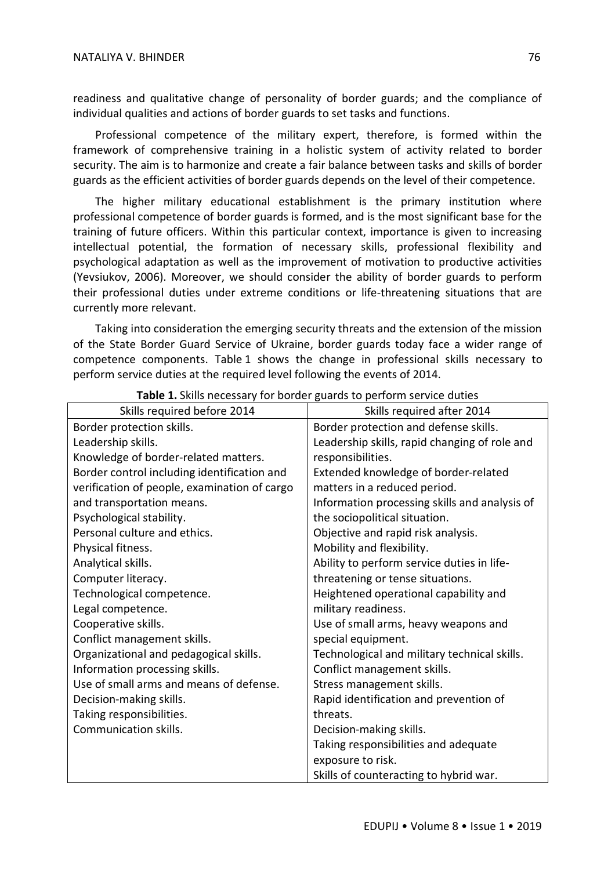readiness and qualitative change of personality of border guards; and the compliance of individual qualities and actions of border guards to set tasks and functions.

Professional competence of the military expert, therefore, is formed within the framework of comprehensive training in a holistic system of activity related to border security. The aim is to harmonize and create a fair balance between tasks and skills of border guards as the efficient activities of border guards depends on the level of their competence.

The higher military educational establishment is the primary institution where professional competence of border guards is formed, and is the most significant base for the training of future officers. Within this particular context, importance is given to increasing intellectual potential, the formation of necessary skills, professional flexibility and psychological adaptation as well as the improvement of motivation to productive activities (Yevsiukov, 2006). Moreover, we should consider the ability of border guards to perform their professional duties under extreme conditions or life-threatening situations that are currently more relevant.

Taking into consideration the emerging security threats and the extension of the mission of the State Border Guard Service of Ukraine, border guards today face a wider range of competence components. Table 1 shows the change in professional skills necessary to perform service duties at the required level following the events of 2014.

| Skills required before 2014                  | Skills required after 2014                    |
|----------------------------------------------|-----------------------------------------------|
| Border protection skills.                    | Border protection and defense skills.         |
| Leadership skills.                           | Leadership skills, rapid changing of role and |
| Knowledge of border-related matters.         | responsibilities.                             |
| Border control including identification and  | Extended knowledge of border-related          |
| verification of people, examination of cargo | matters in a reduced period.                  |
| and transportation means.                    | Information processing skills and analysis of |
| Psychological stability.                     | the sociopolitical situation.                 |
| Personal culture and ethics.                 | Objective and rapid risk analysis.            |
| Physical fitness.                            | Mobility and flexibility.                     |
| Analytical skills.                           | Ability to perform service duties in life-    |
| Computer literacy.                           | threatening or tense situations.              |
| Technological competence.                    | Heightened operational capability and         |
| Legal competence.                            | military readiness.                           |
| Cooperative skills.                          | Use of small arms, heavy weapons and          |
| Conflict management skills.                  | special equipment.                            |
| Organizational and pedagogical skills.       | Technological and military technical skills.  |
| Information processing skills.               | Conflict management skills.                   |
| Use of small arms and means of defense.      | Stress management skills.                     |
| Decision-making skills.                      | Rapid identification and prevention of        |
| Taking responsibilities.                     | threats.                                      |
| Communication skills.                        | Decision-making skills.                       |
|                                              | Taking responsibilities and adequate          |
|                                              | exposure to risk.                             |
|                                              | Skills of counteracting to hybrid war.        |

**Table 1.** Skills necessary for border guards to perform service duties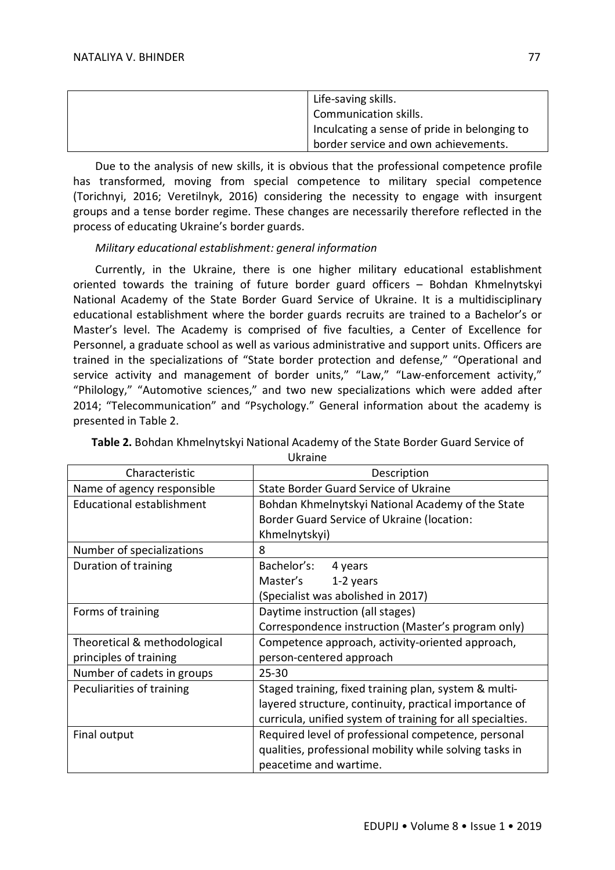| Life-saving skills.                          |
|----------------------------------------------|
| Communication skills.                        |
| Inculcating a sense of pride in belonging to |
| border service and own achievements.         |

Due to the analysis of new skills, it is obvious that the professional competence profile has transformed, moving from special competence to military special competence (Torichnyi, 2016; Veretilnyk, 2016) considering the necessity to engage with insurgent groups and a tense border regime. These changes are necessarily therefore reflected in the process of educating Ukraine's border guards.

## *Military educational establishment: general information*

Currently, in the Ukraine, there is one higher military educational establishment oriented towards the training of future border guard officers – Bohdan Khmelnytskyi National Academy of the State Border Guard Service of Ukraine. It is a multidisciplinary educational establishment where the border guards recruits are trained to a Bachelor's or Master's level. The Academy is comprised of five faculties, a Center of Excellence for Personnel, a graduate school as well as various administrative and support units. Officers are trained in the specializations of "State border protection and defense," "Operational and service activity and management of border units," "Law," "Law-enforcement activity," "Philology," "Automotive sciences," and two new specializations which were added after 2014; "Telecommunication" and "Psychology." General information about the academy is presented in Table 2.

| Characteristic               | Description                                                |
|------------------------------|------------------------------------------------------------|
| Name of agency responsible   | <b>State Border Guard Service of Ukraine</b>               |
| Educational establishment    | Bohdan Khmelnytskyi National Academy of the State          |
|                              | Border Guard Service of Ukraine (location:                 |
|                              | Khmelnytskyi)                                              |
| Number of specializations    | 8                                                          |
| Duration of training         | Bachelor's:<br>4 years                                     |
|                              | Master's<br>1-2 years                                      |
|                              | (Specialist was abolished in 2017)                         |
| Forms of training            | Daytime instruction (all stages)                           |
|                              | Correspondence instruction (Master's program only)         |
| Theoretical & methodological | Competence approach, activity-oriented approach,           |
| principles of training       | person-centered approach                                   |
| Number of cadets in groups   | $25 - 30$                                                  |
| Peculiarities of training    | Staged training, fixed training plan, system & multi-      |
|                              | layered structure, continuity, practical importance of     |
|                              | curricula, unified system of training for all specialties. |
| Final output                 | Required level of professional competence, personal        |
|                              | qualities, professional mobility while solving tasks in    |
|                              | peacetime and wartime.                                     |

## **Table 2.** Bohdan Khmelnytskyi National Academy of the State Border Guard Service of Ukraine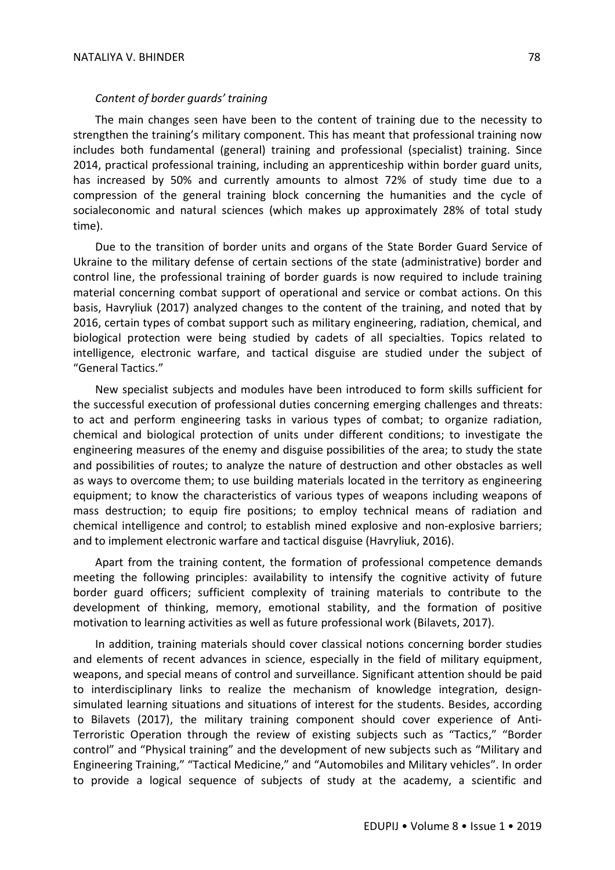#### *Content of border guards' training*

The main changes seen have been to the content of training due to the necessity to strengthen the training's military component. This has meant that professional training now includes both fundamental (general) training and professional (specialist) training. Since 2014, practical professional training, including an apprenticeship within border guard units, has increased by 50% and currently amounts to almost 72% of study time due to a compression of the general training block concerning the humanities and the cycle of socialeconomic and natural sciences (which makes up approximately 28% of total study time).

Due to the transition of border units and organs of the State Border Guard Service of Ukraine to the military defense of certain sections of the state (administrative) border and control line, the professional training of border guards is now required to include training material concerning combat support of operational and service or combat actions. On this basis, Havryliuk (2017) analyzed changes to the content of the training, and noted that by 2016, certain types of combat support such as military engineering, radiation, chemical, and biological protection were being studied by cadets of all specialties. Topics related to intelligence, electronic warfare, and tactical disguise are studied under the subject of "General Tactics."

New specialist subjects and modules have been introduced to form skills sufficient for the successful execution of professional duties concerning emerging challenges and threats: to act and perform engineering tasks in various types of combat; to organize radiation, chemical and biological protection of units under different conditions; to investigate the engineering measures of the enemy and disguise possibilities of the area; to study the state and possibilities of routes; to analyze the nature of destruction and other obstacles as well as ways to overcome them; to use building materials located in the territory as engineering equipment; to know the characteristics of various types of weapons including weapons of mass destruction; to equip fire positions; to employ technical means of radiation and chemical intelligence and control; to establish mined explosive and non-explosive barriers; and to implement electronic warfare and tactical disguise (Havryliuk, 2016).

Apart from the training content, the formation of professional competence demands meeting the following principles: availability to intensify the cognitive activity of future border guard officers; sufficient complexity of training materials to contribute to the development of thinking, memory, emotional stability, and the formation of positive motivation to learning activities as well as future professional work (Bilavets, 2017).

In addition, training materials should cover classical notions concerning border studies and elements of recent advances in science, especially in the field of military equipment, weapons, and special means of control and surveillance. Significant attention should be paid to interdisciplinary links to realize the mechanism of knowledge integration, designsimulated learning situations and situations of interest for the students. Besides, according to Bilavets (2017), the military training component should cover experience of Anti-Terroristic Operation through the review of existing subjects such as "Tactics," "Border control" and "Physical training" and the development of new subjects such as "Military and Engineering Training," "Tactical Medicine," and "Automobiles and Military vehicles". In order to provide a logical sequence of subjects of study at the academy, a scientific and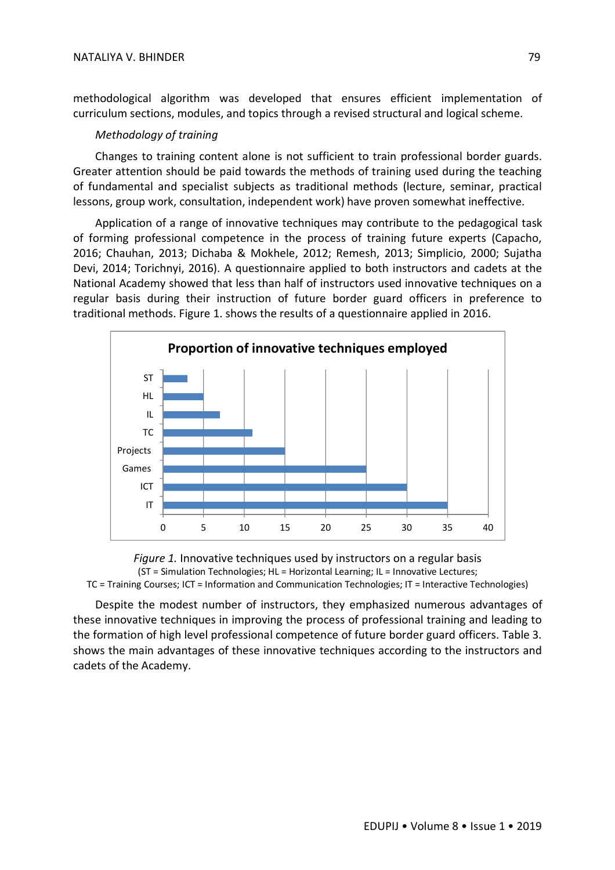methodological algorithm was developed that ensures efficient implementation of curriculum sections, modules, and topics through a revised structural and logical scheme.

#### *Methodology of training*

Changes to training content alone is not sufficient to train professional border guards. Greater attention should be paid towards the methods of training used during the teaching of fundamental and specialist subjects as traditional methods (lecture, seminar, practical lessons, group work, consultation, independent work) have proven somewhat ineffective.

Application of a range of innovative techniques may contribute to the pedagogical task of forming professional competence in the process of training future experts (Capacho, 2016; Chauhan, 2013; Dichaba & Mokhele, 2012; Remesh, 2013; Simplicio, 2000; Sujatha Devi, 2014; Torichnyi, 2016). A questionnaire applied to both instructors and cadets at the National Academy showed that less than half of instructors used innovative techniques on a regular basis during their instruction of future border guard officers in preference to traditional methods. Figure 1. shows the results of a questionnaire applied in 2016.





Despite the modest number of instructors, they emphasized numerous advantages of these innovative techniques in improving the process of professional training and leading to the formation of high level professional competence of future border guard officers. Table 3. shows the main advantages of these innovative techniques according to the instructors and cadets of the Academy.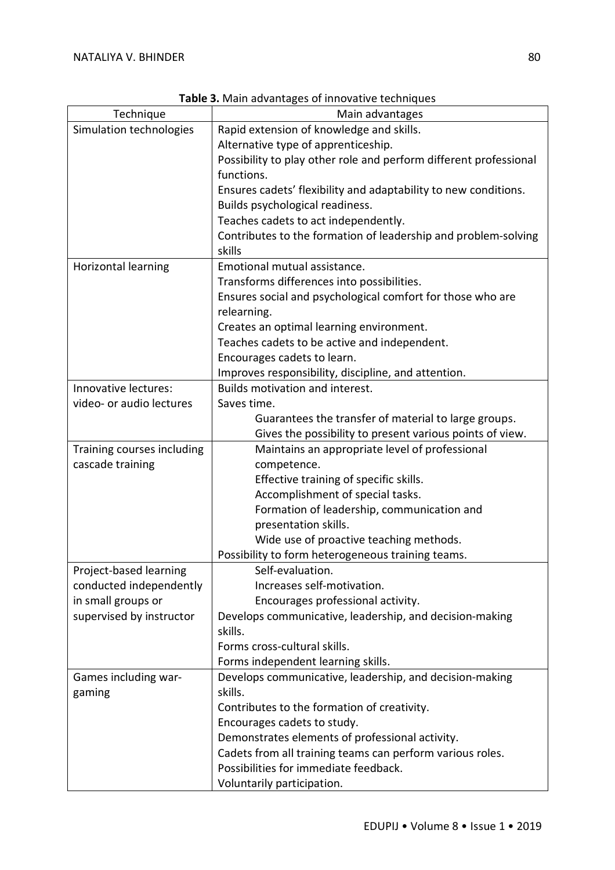|                            | <b>Fable 3:</b> Mail advantages of importance techniques                               |
|----------------------------|----------------------------------------------------------------------------------------|
| Technique                  | Main advantages                                                                        |
| Simulation technologies    | Rapid extension of knowledge and skills.                                               |
|                            | Alternative type of apprenticeship.                                                    |
|                            | Possibility to play other role and perform different professional                      |
|                            | functions.                                                                             |
|                            | Ensures cadets' flexibility and adaptability to new conditions.                        |
|                            | Builds psychological readiness.                                                        |
|                            | Teaches cadets to act independently.                                                   |
|                            | Contributes to the formation of leadership and problem-solving                         |
|                            | skills                                                                                 |
| Horizontal learning        | Emotional mutual assistance.                                                           |
|                            | Transforms differences into possibilities.                                             |
|                            | Ensures social and psychological comfort for those who are                             |
|                            | relearning.                                                                            |
|                            | Creates an optimal learning environment.                                               |
|                            | Teaches cadets to be active and independent.                                           |
|                            |                                                                                        |
|                            | Encourages cadets to learn.                                                            |
| Innovative lectures:       | Improves responsibility, discipline, and attention.<br>Builds motivation and interest. |
|                            |                                                                                        |
| video- or audio lectures   | Saves time.                                                                            |
|                            | Guarantees the transfer of material to large groups.                                   |
|                            | Gives the possibility to present various points of view.                               |
| Training courses including | Maintains an appropriate level of professional                                         |
| cascade training           | competence.                                                                            |
|                            | Effective training of specific skills.                                                 |
|                            | Accomplishment of special tasks.                                                       |
|                            | Formation of leadership, communication and                                             |
|                            | presentation skills.                                                                   |
|                            | Wide use of proactive teaching methods.                                                |
|                            | Possibility to form heterogeneous training teams.                                      |
| Project-based learning     | Self-evaluation.                                                                       |
| conducted independently    | Increases self-motivation.                                                             |
| in small groups or         | Encourages professional activity.                                                      |
| supervised by instructor   | Develops communicative, leadership, and decision-making                                |
|                            | skills.                                                                                |
|                            | Forms cross-cultural skills.                                                           |
|                            | Forms independent learning skills.                                                     |
| Games including war-       | Develops communicative, leadership, and decision-making                                |
| gaming                     | skills.                                                                                |
|                            | Contributes to the formation of creativity.                                            |
|                            | Encourages cadets to study.                                                            |
|                            | Demonstrates elements of professional activity.                                        |
|                            | Cadets from all training teams can perform various roles.                              |
|                            | Possibilities for immediate feedback.                                                  |
|                            | Voluntarily participation.                                                             |
|                            |                                                                                        |

**Table 3.** Main advantages of innovative techniques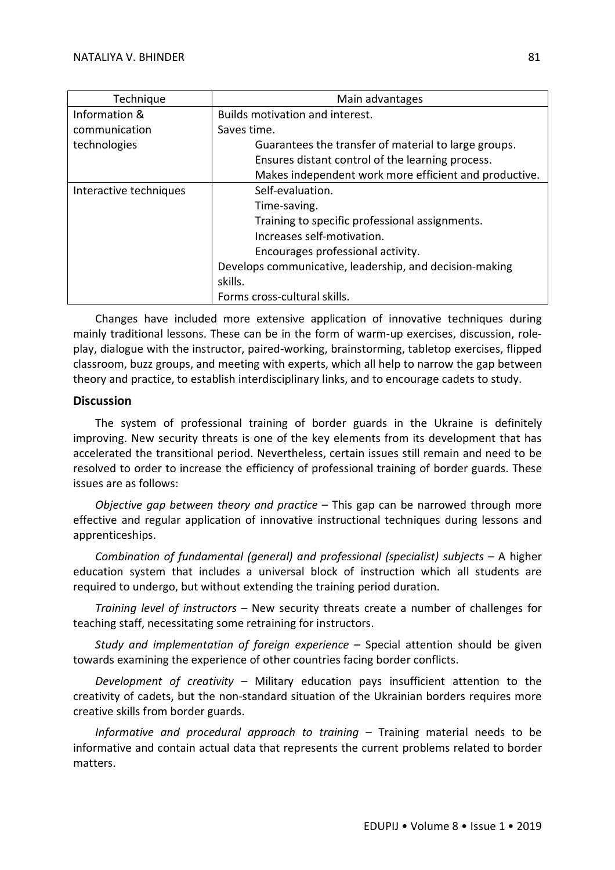| Technique              | Main advantages                                         |
|------------------------|---------------------------------------------------------|
| Information &          | Builds motivation and interest.                         |
| communication          | Saves time.                                             |
| technologies           | Guarantees the transfer of material to large groups.    |
|                        | Ensures distant control of the learning process.        |
|                        | Makes independent work more efficient and productive.   |
| Interactive techniques | Self-evaluation.                                        |
|                        | Time-saving.                                            |
|                        | Training to specific professional assignments.          |
|                        | Increases self-motivation.                              |
|                        | Encourages professional activity.                       |
|                        | Develops communicative, leadership, and decision-making |
|                        | skills.                                                 |
|                        | Forms cross-cultural skills.                            |

Changes have included more extensive application of innovative techniques during mainly traditional lessons. These can be in the form of warm-up exercises, discussion, roleplay, dialogue with the instructor, paired-working, brainstorming, tabletop exercises, flipped classroom, buzz groups, and meeting with experts, which all help to narrow the gap between theory and practice, to establish interdisciplinary links, and to encourage cadets to study.

## **Discussion**

The system of professional training of border guards in the Ukraine is definitely improving. New security threats is one of the key elements from its development that has accelerated the transitional period. Nevertheless, certain issues still remain and need to be resolved to order to increase the efficiency of professional training of border guards. These issues are as follows:

*Objective gap between theory and practice –* This gap can be narrowed through more effective and regular application of innovative instructional techniques during lessons and apprenticeships.

*Combination of fundamental (general) and professional (specialist) subjects –* A higher education system that includes a universal block of instruction which all students are required to undergo, but without extending the training period duration.

*Training level of instructors –* New security threats create a number of challenges for teaching staff, necessitating some retraining for instructors.

*Study and implementation of foreign experience –* Special attention should be given towards examining the experience of other countries facing border conflicts.

*Development of creativity –* Military education pays insufficient attention to the creativity of cadets, but the non-standard situation of the Ukrainian borders requires more creative skills from border guards.

*Informative and procedural approach to training –* Training material needs to be informative and contain actual data that represents the current problems related to border matters.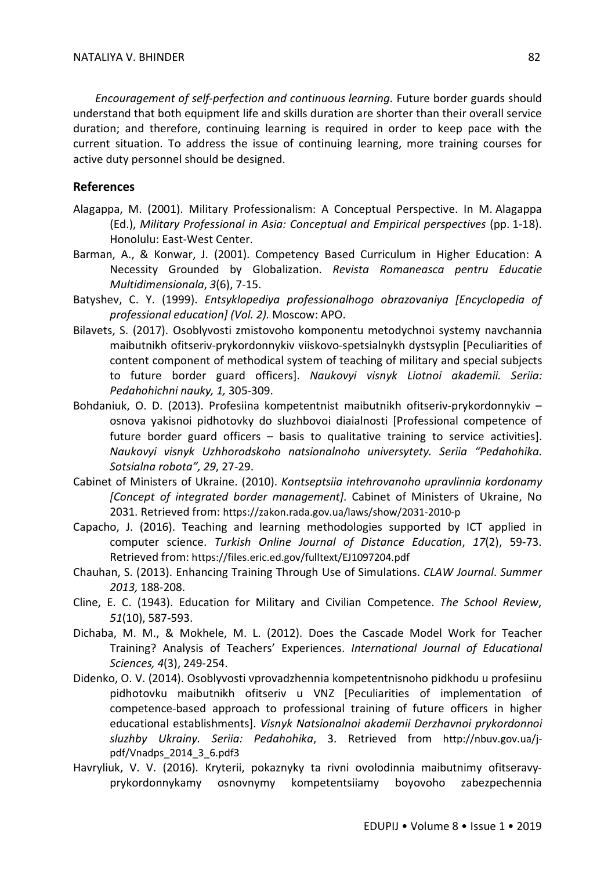*Encouragement of self-perfection and continuous learning.* Future border guards should understand that both equipment life and skills duration are shorter than their overall service duration; and therefore, continuing learning is required in order to keep pace with the current situation. To address the issue of continuing learning, more training courses for active duty personnel should be designed.

### **References**

- Alagappa, M. (2001). Military Professionalism: A Conceptual Perspective. In M. Alagappa (Ed.), *Military Professional in Asia: Conceptual and Empirical perspectives* (pp. 1-18). Honolulu: East-West Center.
- Barman, A., & Konwar, J. (2001). Competency Based Curriculum in Higher Education: A Necessity Grounded by Globalization. *Revista Romaneasca pentru Educatie Multidimensionala*, *3*(6), 7-15.
- Batyshev, C. Y. (1999). *Entsyklopediya professionalhogo obrazovaniya [Encyclopedia of professional education] (Vol. 2).* Moscow: APO.
- Bilavets, S. (2017). Osoblyvosti zmistovoho komponentu metodychnoi systemy navchannia maibutnikh ofitseriv-prykordonnykiv viiskovo-spetsialnykh dystsyplin [Peculiarities of content component of methodical system of teaching of military and special subjects to future border guard officers]. *Naukovyi visnyk Liotnoi akademii. Seriia: Pedahohichni nauky, 1,* 305-309.
- Bohdaniuk, O. D. (2013). Profesiina kompetentnist maibutnikh ofitseriv-prykordonnykiv osnova yakisnoi pidhotovky do sluzhbovoi diaialnosti [Professional competence of future border guard officers – basis to qualitative training to service activities]. *Naukovyi visnyk Uzhhorodskoho natsionalnoho universytety. Seriia "Pedahohika. Sotsialna robota", 29*, 27-29.
- Cabinet of Ministers of Ukraine. (2010). *Kontseptsiia intehrovanoho upravlinnia kordonamy [Concept of integrated border management]*. Cabinet of Ministers of Ukraine, No 2031. Retrieved from: https://zakon.rada.gov.ua/laws/show/2031-2010-р
- Capacho, J. (2016). Teaching and learning methodologies supported by ICT applied in computer science. *Turkish Online Journal of Distance Education*, *17*(2), 59-73. Retrieved from: https://files.eric.ed.gov/fulltext/EJ1097204.pdf
- Chauhan, S. (2013). Enhancing Training Through Use of Simulations. *CLAW Journal*. *Summer 2013,* 188-208.
- Cline, E. C. (1943). Education for Military and Civilian Competence. *The School Review*, *51*(10), 587-593.
- Dichaba, M. M., & Mokhele, M. L. (2012). Does the Cascade Model Work for Teacher Training? Analysis of Teachers' Experiences. *International Journal of Educational Sciences, 4*(3), 249-254.
- Didenko, O. V. (2014). Osoblyvosti vprovadzhennia kompetentnisnoho pidkhodu u profesiinu pidhotovku maibutnikh ofitseriv u VNZ [Peculiarities of implementation of competence-based approach to professional training of future officers in higher educational establishments]. *Visnyk Natsionalnoi akademii Derzhavnoi prykordonnoi sluzhby Ukrainy. Seriia: Pedahohika*, 3. Retrieved from http://nbuv.gov.ua/jpdf/Vnadps\_2014\_3\_6.pdf3
- Havryliuk, V. V. (2016). Kryterii, pokaznyky ta rivni ovolodinnia maibutnimy ofitseravyprykordonnykamy osnovnymy kompetentsiiamy boyovoho zabezpechennia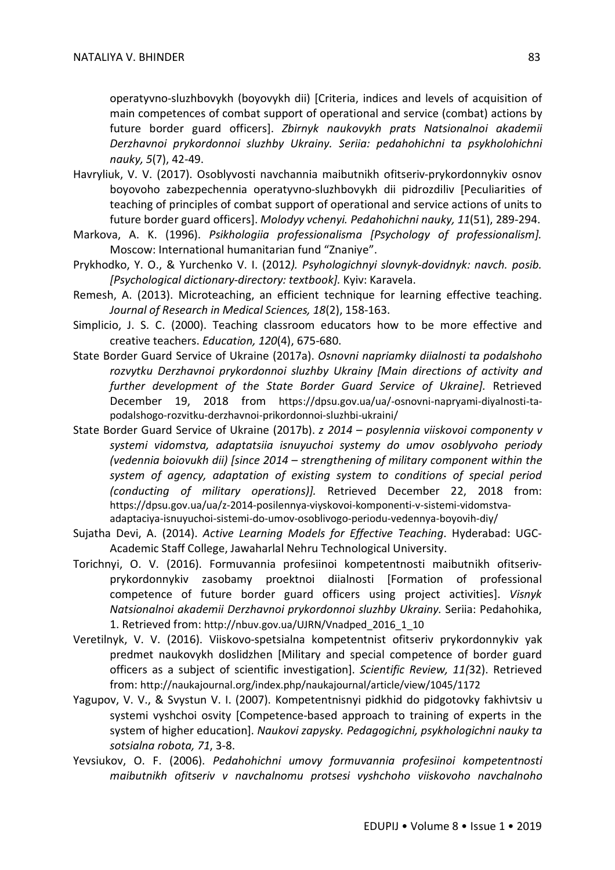operatyvno-sluzhbovykh (boyovykh dii) [Criteria, indices and levels of acquisition of main competences of combat support of operational and service (combat) actions by future border guard officers]. *Zbirnyk naukovykh prats Natsionalnoi akademii Derzhavnoi prykordonnoi sluzhby Ukrainy. Seriia: pedahohichni ta psykholohichni nauky, 5*(7), 42-49.

- Havryliuk, V. V. (2017). Osoblyvosti navchannia maibutnikh ofitseriv-prykordonnykiv osnov boyovoho zabezpechennia operatyvno-sluzhbovykh dii pidrozdiliv [Peculiarities of teaching of principles of combat support of operational and service actions of units to future border guard officers]. *Molodyy vchenyi. Pedahohichni nauky, 11*(51), 289-294.
- Markova, A. K. (1996). *Psikhologiia professionalisma [Psychology of professionalism].* Moscow: International humanitarian fund "Znaniye".
- Prykhodko, Y. O., & Yurchenko V. I. (2012*). Psyhologichnyi slovnyk-dovidnyk: navch. posib. [Psychological dictionary-directory: textbook].* Kyiv: Karavela.
- Remesh, A. (2013). Microteaching, an efficient technique for learning effective teaching. *Journal of Research in Medical Sciences, 18*(2), 158-163.
- Simplicio, J. S. C. (2000). Teaching classroom educators how to be more effective and creative teachers. *Education, 120*(4), 675-680.
- State Border Guard Service of Ukraine (2017a). *Osnovni napriamky diialnosti ta podalshoho rozvytku Derzhavnoi prykordonnoi sluzhby Ukrainy [Main directions of activity and further development of the State Border Guard Service of Ukraine].* Retrieved December 19, 2018 from https://dpsu.gov.ua/ua/-osnovni-napryami-diyalnosti-tapodalshogo-rozvitku-derzhavnoi-prikordonnoi-sluzhbi-ukraini/
- State Border Guard Service of Ukraine (2017b). *z 2014 – posylennia viiskovoi componenty v systemi vidomstva, adaptatsiia isnuyuchoi systemy do umov osoblyvoho periody (vedennia boiovukh dii) [since 2014 – strengthening of military component within the system of agency, adaptation of existing system to conditions of special period (conducting of military operations)].* Retrieved December 22, 2018 from: https://dpsu.gov.ua/ua/z-2014-posilennya-viyskovoi-komponenti-v-sistemi-vidomstvaadaptaciya-isnuyuchoi-sistemi-do-umov-osoblivogo-periodu-vedennya-boyovih-diy/
- Sujatha Devi, A. (2014). *Active Learning Models for Effective Teaching*. Hyderabad: UGC-Academic Staff College, Jawaharlal Nehru Technological University.
- Torichnyi, O. V. (2016). Formuvannia profesiinoi kompetentnosti maibutnikh ofitserivprykordonnykiv zasobamy proektnoi diialnosti [Formation of professional competence of future border guard officers using project activities]. *Visnyk Natsionalnoi akademii Derzhavnoi prykordonnoi sluzhby Ukrainy.* Seriia: Pedahohika, 1. Retrieved from: http://nbuv.gov.ua/UJRN/Vnadped\_2016\_1\_10
- Veretilnyk, V. V. (2016). Viiskovo-spetsialna kompetentnist ofitseriv prykordonnykiv yak predmet naukovykh doslidzhen [Military and special competence of border guard officers as a subject of scientific investigation]. *Scientific Review, 11(*32). Retrieved from: http://naukajournal.org/index.php/naukajournal/article/view/1045/1172
- Yagupov, V. V., & Svystun V. I. (2007). Kompetentnisnyi pidkhid do pidgotovky fakhivtsiv u systemi vyshchoi osvity [Competence-based approach to training of experts in the system of higher education]. *Naukovi zapysky. Pedagogichni, psykhologichni nauky ta sotsialna robota, 71*, 3-8.
- Yevsiukov, O. F. (2006). *Pedahohichni umovy formuvannia profesiinoi kompetentnosti maibutnikh ofitseriv v navchalnomu protsesi vyshchoho viiskovoho navchalnoho*